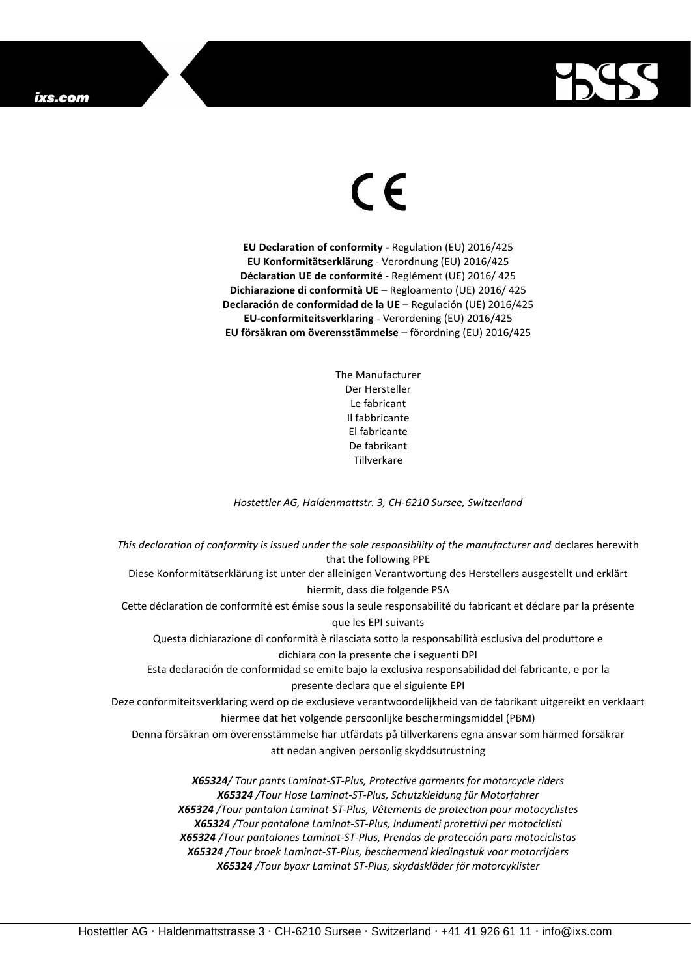## ixs.com



## $\epsilon$

**EU Declaration of conformity -** Regulation (EU) 2016/425 **EU Konformitätserklärung** - Verordnung (EU) 2016/425 **Déclaration UE de conformité** - Reglément (UE) 2016/ 425 **Dichiarazione di conformità UE** – Regloamento (UE) 2016/ 425 **Declaración de conformidad de la UE** – Regulación (UE) 2016/425 **EU-conformiteitsverklaring** - Verordening (EU) 2016/425 **EU försäkran om överensstämmelse** – förordning (EU) 2016/425

> The Manufacturer Der Hersteller Le fabricant Il fabbricante El fabricante De fabrikant **Tillverkare**

*Hostettler AG, Haldenmattstr. 3, CH-6210 Sursee, Switzerland*

*This declaration of conformity is issued under the sole responsibility of the manufacturer and* declares herewith that the following PPE Diese Konformitätserklärung ist unter der alleinigen Verantwortung des Herstellers ausgestellt und erklärt hiermit, dass die folgende PSA Cette déclaration de conformité est émise sous la seule responsabilité du fabricant et déclare par la présente que les EPI suivants Questa dichiarazione di conformità è rilasciata sotto la responsabilità esclusiva del produttore e dichiara con la presente che i seguenti DPI Esta declaración de conformidad se emite bajo la exclusiva responsabilidad del fabricante, e por la presente declara que el siguiente EPI Deze conformiteitsverklaring werd op de exclusieve verantwoordelijkheid van de fabrikant uitgereikt en verklaart hiermee dat het volgende persoonlijke beschermingsmiddel (PBM) Denna försäkran om överensstämmelse har utfärdats på tillverkarens egna ansvar som härmed försäkrar att nedan angiven personlig skyddsutrustning *X65324/ Tour pants Laminat-ST-Plus, Protective garments for motorcycle riders X65324 /Tour Hose Laminat-ST-Plus, Schutzkleidung für Motorfahrer X65324 /Tour pantalon Laminat-ST-Plus, Vêtements de protection pour motocyclistes X65324 /Tour pantalone Laminat-ST-Plus, Indumenti protettivi per motociclisti*

*X65324 /Tour pantalones Laminat-ST-Plus, Prendas de protección para motociclistas X65324 /Tour broek Laminat-ST-Plus, beschermend kledingstuk voor motorrijders X65324 /Tour byoxr Laminat ST-Plus, skyddskläder för motorcyklister*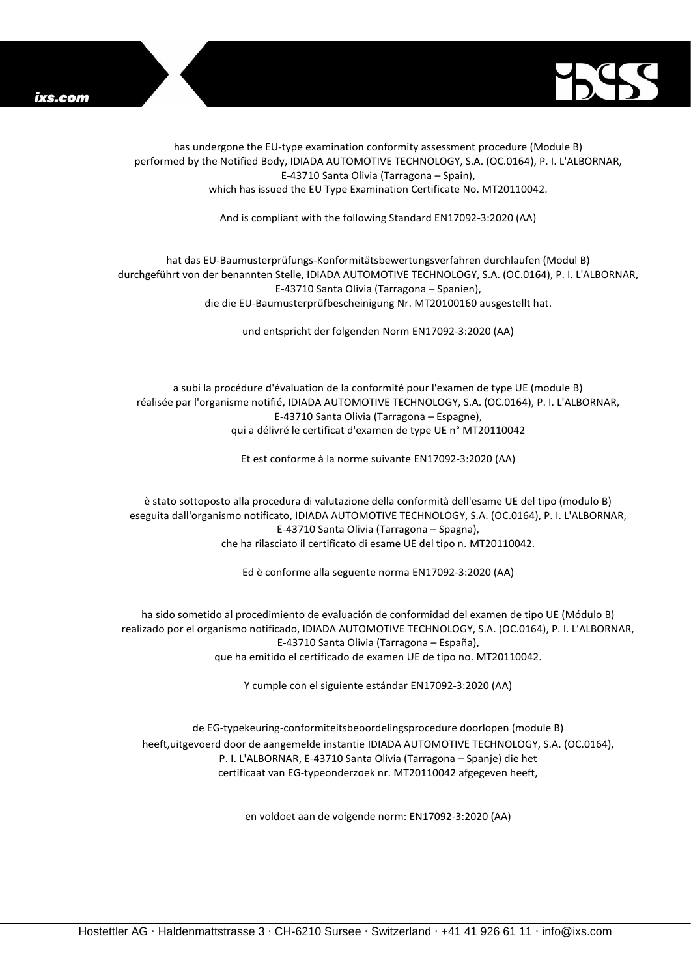



has undergone the EU-type examination conformity assessment procedure (Module B) performed by the Notified Body, IDIADA AUTOMOTIVE TECHNOLOGY, S.A. (OC.0164), P. I. L'ALBORNAR, E-43710 Santa Olivia (Tarragona – Spain), which has issued the EU Type Examination Certificate No. MT20110042.

And is compliant with the following Standard EN17092-3:2020 (AA)

## hat das EU-Baumusterprüfungs-Konformitätsbewertungsverfahren durchlaufen (Modul B) durchgeführt von der benannten Stelle, IDIADA AUTOMOTIVE TECHNOLOGY, S.A. (OC.0164), P. I. L'ALBORNAR, E-43710 Santa Olivia (Tarragona – Spanien), die die EU-Baumusterprüfbescheinigung Nr. MT20100160 ausgestellt hat.

und entspricht der folgenden Norm EN17092-3:2020 (AA)

a subi la procédure d'évaluation de la conformité pour l'examen de type UE (module B) réalisée par l'organisme notifié, IDIADA AUTOMOTIVE TECHNOLOGY, S.A. (OC.0164), P. I. L'ALBORNAR, E-43710 Santa Olivia (Tarragona – Espagne), qui a délivré le certificat d'examen de type UE n° MT20110042

Et est conforme à la norme suivante EN17092-3:2020 (AA)

è stato sottoposto alla procedura di valutazione della conformità dell'esame UE del tipo (modulo B) eseguita dall'organismo notificato, IDIADA AUTOMOTIVE TECHNOLOGY, S.A. (OC.0164), P. I. L'ALBORNAR, E-43710 Santa Olivia (Tarragona – Spagna), che ha rilasciato il certificato di esame UE del tipo n. MT20110042.

Ed è conforme alla seguente norma EN17092-3:2020 (AA)

ha sido sometido al procedimiento de evaluación de conformidad del examen de tipo UE (Módulo B) realizado por el organismo notificado, IDIADA AUTOMOTIVE TECHNOLOGY, S.A. (OC.0164), P. I. L'ALBORNAR, E-43710 Santa Olivia (Tarragona – España), que ha emitido el certificado de examen UE de tipo no. MT20110042.

Y cumple con el siguiente estándar EN17092-3:2020 (AA)

de EG-typekeuring-conformiteitsbeoordelingsprocedure doorlopen (module B) heeft,uitgevoerd door de aangemelde instantie IDIADA AUTOMOTIVE TECHNOLOGY, S.A. (OC.0164), P. I. L'ALBORNAR, E-43710 Santa Olivia (Tarragona – Spanje) die het certificaat van EG-typeonderzoek nr. MT20110042 afgegeven heeft,

en voldoet aan de volgende norm: EN17092-3:2020 (AA)